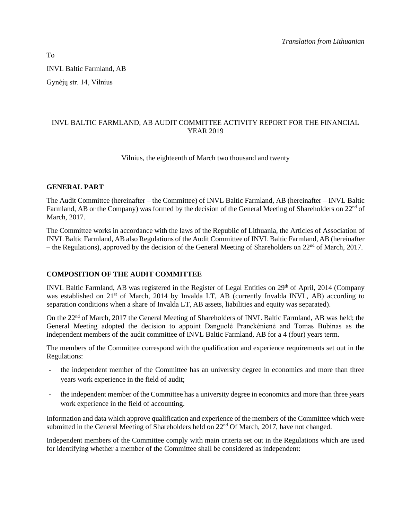INVL Baltic Farmland, AB Gynėjų str. 14, Vilnius

# INVL BALTIC FARMLAND, AB AUDIT COMMITTEE ACTIVITY REPORT FOR THE FINANCIAL YEAR 2019

Vilnius, the eighteenth of March two thousand and twenty

## **GENERAL PART**

The Audit Committee (hereinafter – the Committee) of INVL Baltic Farmland, AB (hereinafter – INVL Baltic Farmland, AB or the Company) was formed by the decision of the General Meeting of Shareholders on 22<sup>nd</sup> of March, 2017.

The Committee works in accordance with the laws of the Republic of Lithuania, the Articles of Association of INVL Baltic Farmland, AB also Regulations of the Audit Committee of INVL Baltic Farmland, AB (hereinafter – the Regulations), approved by the decision of the General Meeting of Shareholders on  $22<sup>nd</sup>$  of March, 2017.

## **COMPOSITION OF THE AUDIT COMMITTEE**

INVL Baltic Farmland, AB was registered in the Register of Legal Entities on 29<sup>th</sup> of April, 2014 (Company was established on 21<sup>st</sup> of March, 2014 by Invalda LT, AB (currently Invalda INVL, AB) according to separation conditions when a share of Invalda LT, AB assets, liabilities and equity was separated).

On the 22<sup>nd</sup> of March, 2017 the General Meeting of Shareholders of INVL Baltic Farmland, AB was held; the General Meeting adopted the decision to appoint Danguolė Pranckėnienė and Tomas Bubinas as the independent members of the audit committee of INVL Baltic Farmland, AB for a 4 (four) years term.

The members of the Committee correspond with the qualification and experience requirements set out in the Regulations:

- the independent member of the Committee has an university degree in economics and more than three years work experience in the field of audit;
- the independent member of the Committee has a university degree in economics and more than three years work experience in the field of accounting.

Information and data which approve qualification and experience of the members of the Committee which were submitted in the General Meeting of Shareholders held on 22<sup>nd</sup> Of March, 2017, have not changed.

Independent members of the Committee comply with main criteria set out in the Regulations which are used for identifying whether a member of the Committee shall be considered as independent:

To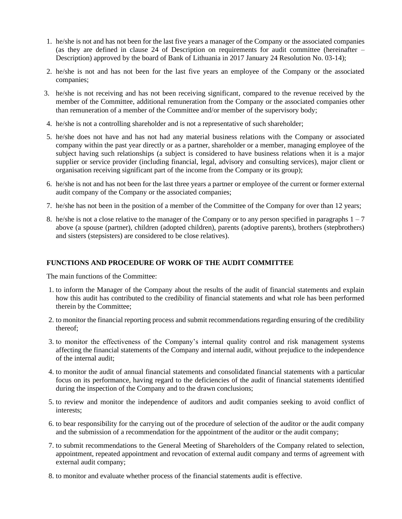- 1. he/she is not and has not been for the last five years a manager of the Company or the associated companies (as they are defined in clause 24 of Description on requirements for audit committee (hereinafter – Description) approved by the board of Bank of Lithuania in 2017 January 24 Resolution No. 03-14);
- 2. he/she is not and has not been for the last five years an employee of the Company or the associated companies;
- 3. he/she is not receiving and has not been receiving significant, compared to the revenue received by the member of the Committee, additional remuneration from the Company or the associated companies other than remuneration of a member of the Committee and/or member of the supervisory body;
- 4. he/she is not a controlling shareholder and is not a representative of such shareholder;
- 5. he/she does not have and has not had any material business relations with the Company or associated company within the past year directly or as a partner, shareholder or a member, managing employee of the subject having such relationships (a subject is considered to have business relations when it is a major supplier or service provider (including financial, legal, advisory and consulting services), major client or organisation receiving significant part of the income from the Company or its group);
- 6. he/she is not and has not been for the last three years a partner or employee of the current or former external audit company of the Company or the associated companies;
- 7. he/she has not been in the position of a member of the Committee of the Company for over than 12 years;
- 8. he/she is not a close relative to the manager of the Company or to any person specified in paragraphs 1 7 above (a spouse (partner), children (adopted children), parents (adoptive parents), brothers (stepbrothers) and sisters (stepsisters) are considered to be close relatives).

## **FUNCTIONS AND PROCEDURE OF WORK OF THE AUDIT COMMITTEE**

The main functions of the Committee:

- 1. to inform the Manager of the Company about the results of the audit of financial statements and explain how this audit has contributed to the credibility of financial statements and what role has been performed therein by the Committee;
- 2. to monitor the financial reporting process and submit recommendations regarding ensuring of the credibility thereof;
- 3. to monitor the effectiveness of the Company's internal quality control and risk management systems affecting the financial statements of the Company and internal audit, without prejudice to the independence of the internal audit;
- 4. to monitor the audit of annual financial statements and consolidated financial statements with a particular focus on its performance, having regard to the deficiencies of the audit of financial statements identified during the inspection of the Company and to the drawn conclusions;
- 5. to review and monitor the independence of auditors and audit companies seeking to avoid conflict of interests;
- 6. to bear responsibility for the carrying out of the procedure of selection of the auditor or the audit company and the submission of a recommendation for the appointment of the auditor or the audit company;
- 7. to submit recommendations to the General Meeting of Shareholders of the Company related to selection, appointment, repeated appointment and revocation of external audit company and terms of agreement with external audit company;
- 8. to monitor and evaluate whether process of the financial statements audit is effective.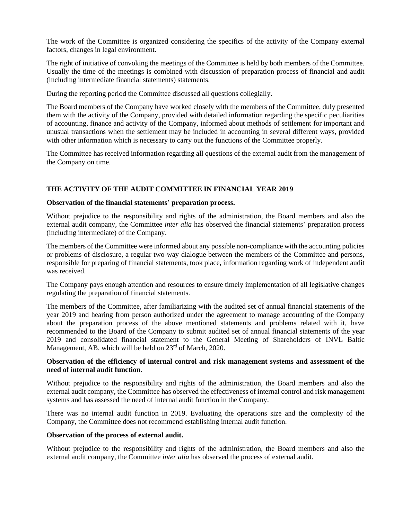The work of the Committee is organized considering the specifics of the activity of the Company external factors, changes in legal environment.

The right of initiative of convoking the meetings of the Committee is held by both members of the Committee. Usually the time of the meetings is combined with discussion of preparation process of financial and audit (including intermediate financial statements) statements.

During the reporting period the Committee discussed all questions collegially.

The Board members of the Company have worked closely with the members of the Committee, duly presented them with the activity of the Company, provided with detailed information regarding the specific peculiarities of accounting, finance and activity of the Company, informed about methods of settlement for important and unusual transactions when the settlement may be included in accounting in several different ways, provided with other information which is necessary to carry out the functions of the Committee properly.

The Committee has received information regarding all questions of the external audit from the management of the Company on time.

## **THE ACTIVITY OF THE AUDIT COMMITTEE IN FINANCIAL YEAR 2019**

#### **Observation of the financial statements' preparation process.**

Without prejudice to the responsibility and rights of the administration, the Board members and also the external audit company, the Committee *inter alia* has observed the financial statements' preparation process (including intermediate) of the Company.

The members of the Committee were informed about any possible non-compliance with the accounting policies or problems of disclosure, a regular two-way dialogue between the members of the Committee and persons, responsible for preparing of financial statements, took place, information regarding work of independent audit was received.

The Company pays enough attention and resources to ensure timely implementation of all legislative changes regulating the preparation of financial statements.

The members of the Committee, after familiarizing with the audited set of annual financial statements of the year 2019 and hearing from person authorized under the agreement to manage accounting of the Company about the preparation process of the above mentioned statements and problems related with it, have recommended to the Board of the Company to submit audited set of annual financial statements of the year 2019 and consolidated financial statement to the General Meeting of Shareholders of INVL Baltic Management, AB, which will be held on 23rd of March, 2020.

## **Observation of the efficiency of internal control and risk management systems and assessment of the need of internal audit function.**

Without prejudice to the responsibility and rights of the administration, the Board members and also the external audit company, the Committee has observed the effectiveness of internal control and risk management systems and has assessed the need of internal audit function in the Company.

There was no internal audit function in 2019. Evaluating the operations size and the complexity of the Company, the Committee does not recommend establishing internal audit function.

#### **Observation of the process of external audit.**

Without prejudice to the responsibility and rights of the administration, the Board members and also the external audit company, the Committee *inter alia* has observed the process of external audit.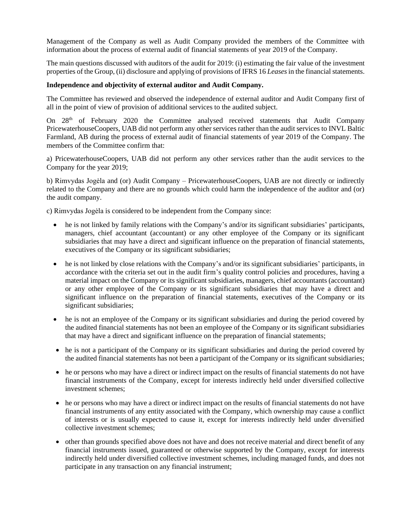Management of the Company as well as Audit Company provided the members of the Committee with information about the process of external audit of financial statements of year 2019 of the Company.

The main questions discussed with auditors of the audit for 2019: (i) estimating the fair value of the investment properties of the Group, (ii) disclosure and applying of provisions of IFRS 16 *Leases*in the financial statements.

## **Independence and objectivity of external auditor and Audit Company.**

The Committee has reviewed and observed the independence of external auditor and Audit Company first of all in the point of view of provision of additional services to the audited subject.

On  $28<sup>th</sup>$  of February 2020 the Committee analysed received statements that Audit Company PricewaterhouseCoopers, UAB did not perform any other services rather than the audit services to INVL Baltic Farmland, AB during the process of external audit of financial statements of year 2019 of the Company. The members of the Committee confirm that:

a) PricewaterhouseCoopers, UAB did not perform any other services rather than the audit services to the Company for the year 2019;

b) Rimvydas Jogėla and (or) Audit Company – PricewaterhouseCoopers, UAB are not directly or indirectly related to the Company and there are no grounds which could harm the independence of the auditor and (or) the audit company.

c) Rimvydas Jogėla is considered to be independent from the Company since:

- he is not linked by family relations with the Company's and/or its significant subsidiaries' participants, managers, chief accountant (accountant) or any other employee of the Company or its significant subsidiaries that may have a direct and significant influence on the preparation of financial statements, executives of the Company or its significant subsidiaries;
- he is not linked by close relations with the Company's and/or its significant subsidiaries' participants, in accordance with the criteria set out in the audit firm's quality control policies and procedures, having a material impact on the Company or its significant subsidiaries, managers, chief accountants (accountant) or any other employee of the Company or its significant subsidiaries that may have a direct and significant influence on the preparation of financial statements, executives of the Company or its significant subsidiaries;
- he is not an employee of the Company or its significant subsidiaries and during the period covered by the audited financial statements has not been an employee of the Company or its significant subsidiaries that may have a direct and significant influence on the preparation of financial statements;
- he is not a participant of the Company or its significant subsidiaries and during the period covered by the audited financial statements has not been a participant of the Company or its significant subsidiaries;
- he or persons who may have a direct or indirect impact on the results of financial statements do not have financial instruments of the Company, except for interests indirectly held under diversified collective investment schemes;
- he or persons who may have a direct or indirect impact on the results of financial statements do not have financial instruments of any entity associated with the Company, which ownership may cause a conflict of interests or is usually expected to cause it, except for interests indirectly held under diversified collective investment schemes;
- other than grounds specified above does not have and does not receive material and direct benefit of any financial instruments issued, guaranteed or otherwise supported by the Company, except for interests indirectly held under diversified collective investment schemes, including managed funds, and does not participate in any transaction on any financial instrument;